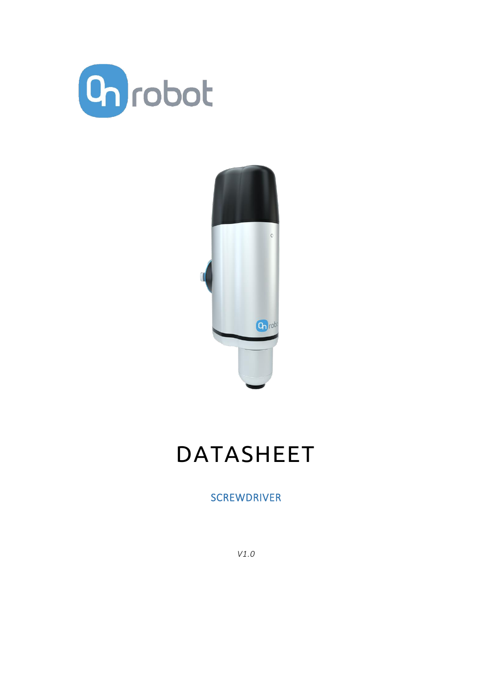



# DATASHEET

# **SCREWDRIVER**

*V1.0*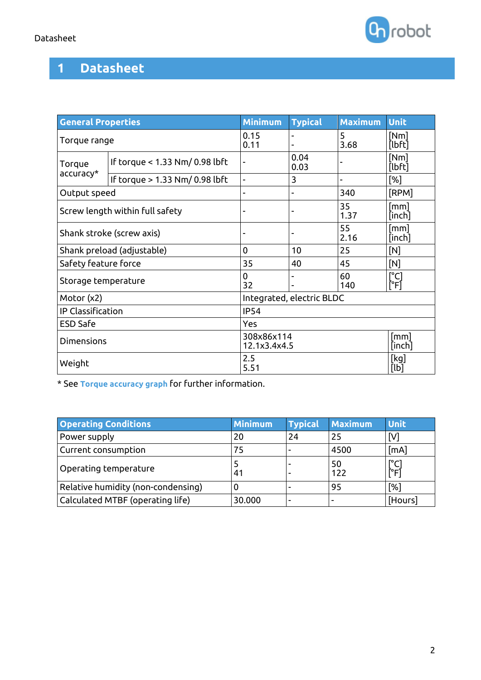| <b>General Properties</b>       |                                | <b>Minimum</b>                               | <b>Typical</b>           | <b>Maximum</b> | <b>Unit</b>              |  |
|---------------------------------|--------------------------------|----------------------------------------------|--------------------------|----------------|--------------------------|--|
| Torque range                    |                                | 0.15<br>0.11                                 | $\overline{\phantom{0}}$ | 5<br>3.68      | [Nm]<br>[lbft]           |  |
| Torque<br>accuracy*             | If torque < 1.33 Nm/ 0.98 lbft |                                              | 0.04<br>0.03             |                | [Nm]<br>[lbft]           |  |
|                                 | If torque > 1.33 Nm/ 0.98 lbft |                                              | 3                        | ÷              | $[\%]$                   |  |
| Output speed                    |                                |                                              | ۰                        | 340            | [RPM]                    |  |
| Screw length within full safety |                                |                                              | ۰                        | 35<br>1.37     | [mm]<br>[inch]           |  |
| Shank stroke (screw axis)       |                                |                                              |                          | 55<br>2.16     | [mm]<br>[inch]           |  |
| Shank preload (adjustable)      |                                | 0                                            | 10                       | 25             | [N]                      |  |
| Safety feature force            |                                | 35                                           | 40                       | 45             | [N]                      |  |
| Storage temperature             |                                | 0<br>32                                      |                          | 60<br>140      | [°C]<br>$[\hat{ }$ F $]$ |  |
| Motor (x2)                      |                                | Integrated, electric BLDC                    |                          |                |                          |  |
| <b>IP Classification</b>        |                                | <b>IP54</b>                                  |                          |                |                          |  |
| <b>ESD Safe</b>                 |                                | Yes                                          |                          |                |                          |  |
| <b>Dimensions</b>               |                                | 308x86x114<br>[mm]<br>12.1x3.4x4.5<br>[inch] |                          |                |                          |  |
| Weight                          |                                | 2.5<br>[kg]<br>5.51<br>[lb]                  |                          |                |                          |  |

\* See **Torque accuracy graph** for further information.

| <b>Operating Conditions</b>        | <b>Minimum</b> | <b>Typical</b> | <b>Maximum</b> | <b>Unit</b>                  |
|------------------------------------|----------------|----------------|----------------|------------------------------|
| Power supply                       | 20             | 24             | 25             | [V]                          |
| Current consumption                | 75             |                | 4500           | [mA]                         |
| Operating temperature              | 41             |                | 50<br>122      | $\Gamma$ <sup>c</sup><br>ݰFİ |
| Relative humidity (non-condensing) |                |                | 95             | [%]                          |
| Calculated MTBF (operating life)   | 30.000         |                | -              | [Hours]                      |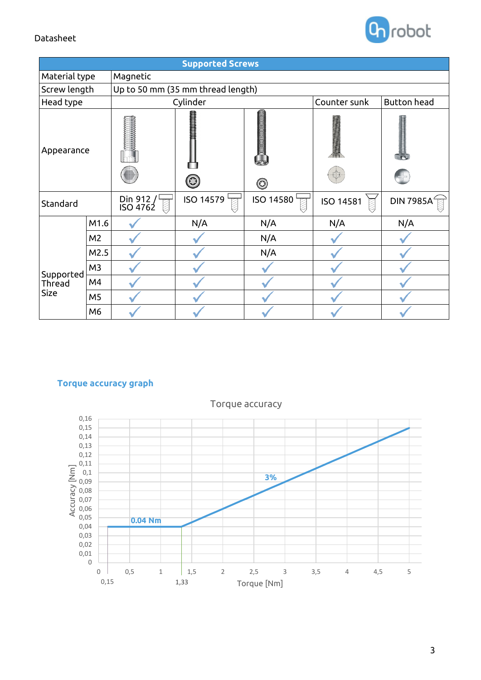

| <b>Supported Screws</b>            |                |                                   |                                      |                  |                  |                    |  |
|------------------------------------|----------------|-----------------------------------|--------------------------------------|------------------|------------------|--------------------|--|
| Material type                      |                | Magnetic                          |                                      |                  |                  |                    |  |
| Screw length                       |                | Up to 50 mm (35 mm thread length) |                                      |                  |                  |                    |  |
| Head type                          |                | Cylinder                          |                                      |                  | Counter sunk     | <b>Button</b> head |  |
| Appearance                         |                |                                   | <b>HARRICA CONTENTION</b><br>$\odot$ | $\odot$          |                  |                    |  |
| Standard                           |                | Din 912 /<br>ISO 4762             | <b>ISO 14579</b>                     | <b>ISO 14580</b> | <b>ISO 14581</b> | <b>DIN 7985A</b>   |  |
|                                    | M1.6           |                                   | N/A                                  | N/A              | N/A              | N/A                |  |
| Supported<br>Thread<br><b>Size</b> | M <sub>2</sub> |                                   |                                      | N/A              |                  |                    |  |
|                                    | M2.5           |                                   |                                      | N/A              |                  |                    |  |
|                                    | M <sub>3</sub> |                                   |                                      |                  |                  |                    |  |
|                                    | M4             |                                   |                                      |                  |                  |                    |  |
|                                    | M <sub>5</sub> |                                   |                                      |                  |                  |                    |  |
|                                    | M6             |                                   |                                      |                  |                  |                    |  |

#### **Torque accuracy graph**



Torque accuracy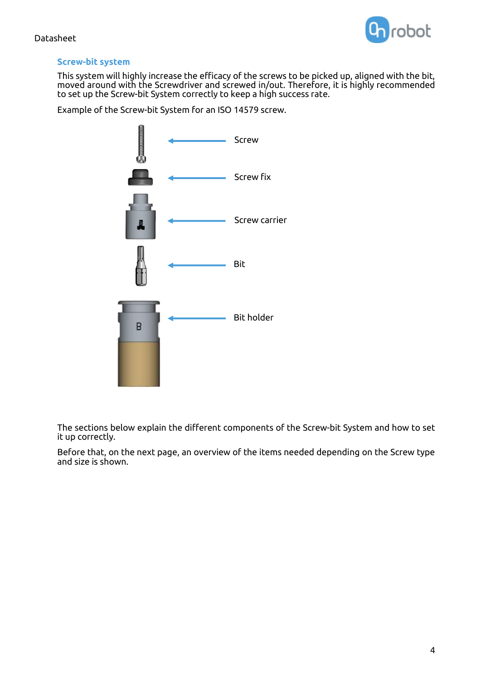

#### **Screw-bit system**

This system will highly increase the efficacy of the screws to be picked up, aligned with the bit, moved around with the Screwdriver and screwed in/out. Therefore, it is highly recommended to set up the Screw-bit System correctly to keep a high success rate.

Example of the Screw-bit System for an ISO 14579 screw.



The sections below explain the different components of the Screw-bit System and how to set it up correctly.

Before that, on the next page, an overview of the items needed depending on the Screw type and size is shown.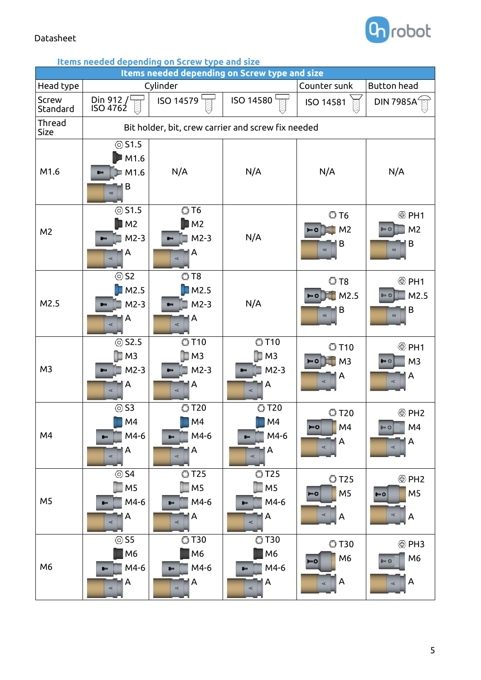

## **Items needed depending on Screw type and size**

| Items needed depending on Screw type and size |                                                              |                                                         |                                                       |                                                                                    |                                                                     |
|-----------------------------------------------|--------------------------------------------------------------|---------------------------------------------------------|-------------------------------------------------------|------------------------------------------------------------------------------------|---------------------------------------------------------------------|
| Head type                                     |                                                              | Cylinder                                                |                                                       | Counter sunk                                                                       | <b>Button head</b>                                                  |
| <b>Screw</b><br>Standard                      | Din 912 / $\sqrt{2}$<br><b>ISO 4762</b>                      | ISO 14579                                               | ISO 14580                                             | <b>ISO 14581</b>                                                                   | <b>DIN 7985A</b>                                                    |
| Thread<br>Size                                | Bit holder, bit, crew carrier and screw fix needed           |                                                         |                                                       |                                                                                    |                                                                     |
| M1.6                                          | <b>851.5</b><br>M1.6<br>M1.6<br>B<br>$\overline{\mathbf{u}}$ | N/A                                                     | N/A                                                   | N/A                                                                                | N/A                                                                 |
| M <sub>2</sub>                                | $\circledcirc$ S1.5<br>M <sub>2</sub><br>$M2-3$<br>Α<br>A    | <b>OT6</b><br>M <sub>2</sub><br>$M2-3$<br>А<br>$\prec$  | N/A                                                   | <b>OT6</b><br>M <sub>2</sub><br>B<br>$\varpi$                                      | <sup> PH1</sup><br>M <sub>2</sub><br>B<br>$\overline{a}$            |
| M2.5                                          | $\circledcirc$ S2<br>M2.5<br>$M2-3$<br>A<br>A                | <b>OT8</b><br>M2.5<br>$M2-3$<br>А<br>A                  | N/A                                                   | ©T8<br>M2.5<br>B<br>$\varpi$                                                       | <sup> PH1</sup><br>M2.5<br>B<br>$\overline{\mathbf{u}}$             |
| M <sub>3</sub>                                | <b>⊙S2.5</b><br>M <sub>3</sub><br>$M2-3$<br>Α<br>$\prec$     | <b>©T10</b><br>M <sub>3</sub><br>$M2-3$<br>A<br>$\prec$ | <b>OT10</b><br>M <sub>3</sub><br>$M2-3$<br>A<br>A     | <b>OT10</b><br>M <sub>3</sub><br>A                                                 | <sup><sup>     2</sup>∞ PH1</sup><br>M <sub>3</sub><br>A            |
| M4                                            | <b>⊙S3</b><br>M4<br>M4-6<br>A<br>A                           | <b>OT20</b><br>M4<br>M4-6<br>$\blacksquare$<br>A<br>A   | <b>OT20</b><br>M4<br>M4-6<br>Α<br>A                   | <b>OT20</b><br>M4<br>٥Ο<br>A<br>$\overline{\mathbf{A}}$                            | <sup><sup><sup></sup> PH<sub>2</sub></sup></sup><br>M4<br>A<br>A    |
| M <sub>5</sub>                                | <b>⊙S4</b><br>M <sub>5</sub><br>M4-6<br>A<br>$\prec$         | <b>OT25</b><br>M <sub>5</sub><br>M4-6<br>Α<br>A         | <b>OT25</b><br>M <sub>5</sub><br>M4-6<br>A<br>$\prec$ | <b>©T25</b><br>M <sub>5</sub><br><b>MO</b><br>$\prec$<br>$\boldsymbol{\mathsf{A}}$ | M <sub>5</sub><br><b>the O</b><br>¢<br>A                            |
| M <sub>6</sub>                                | <b>⊙S5</b><br>M <sub>6</sub><br>M4-6<br>A<br>A               | <b>©T30</b><br>M6<br>M4-6<br>A<br>$\prec$               | <b>OT30</b><br>M6<br>M4-6<br>A<br>A                   | <b>C</b> T30<br>M <sub>6</sub><br><b>MINO</b><br>A<br>$\prec$                      | <sup><sup><sup></sup> PH3</sup></sup><br>M <sub>6</sub><br>‴ G<br>A |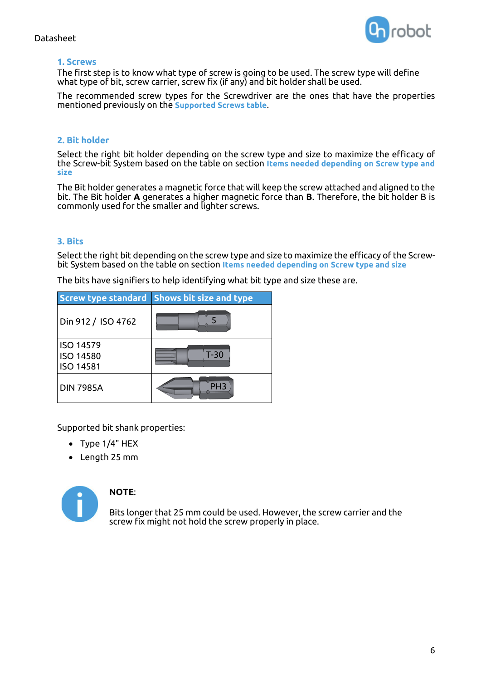

#### **1. Screws**

The first step is to know what type of screw is going to be used. The screw type will define what type of bit, screw carrier, screw fix (if any) and bit holder shall be used.

The recommended screw types for the Screwdriver are the ones that have the properties mentioned previously on the **Supported Screws table**.

#### **2. Bit holder**

Select the right bit holder depending on the screw type and size to maximize the efficacy of the Screw-bit System based on the table on section **Items needed depending on Screw type and size**

The Bit holder generates a magnetic force that will keep the screw attached and aligned to the bit. The Bit holder **A** generates a higher magnetic force than **B**. Therefore, the bit holder B is commonly used for the smaller and lighter screws.

#### **3. Bits**

Select the right bit depending on the screw type and size to maximize the efficacy of the Screwbit System based on the table on section **Items needed depending on Screw type and size**

The bits have signifiers to help identifying what bit type and size these are.

|                                                          | <b>Screw type standard Shows bit size and type</b> |
|----------------------------------------------------------|----------------------------------------------------|
| Din 912 / ISO 4762                                       |                                                    |
| <b>ISO 14579</b><br><b>ISO 14580</b><br><b>ISO 14581</b> | $T-30$                                             |
| <b>DIN 7985A</b>                                         | PH <sub>3</sub>                                    |

Supported bit shank properties:

- Type 1/4" HEX
- Length 25 mm



#### **NOTE**:

Bits longer that 25 mm could be used. However, the screw carrier and the screw fix might not hold the screw properly in place.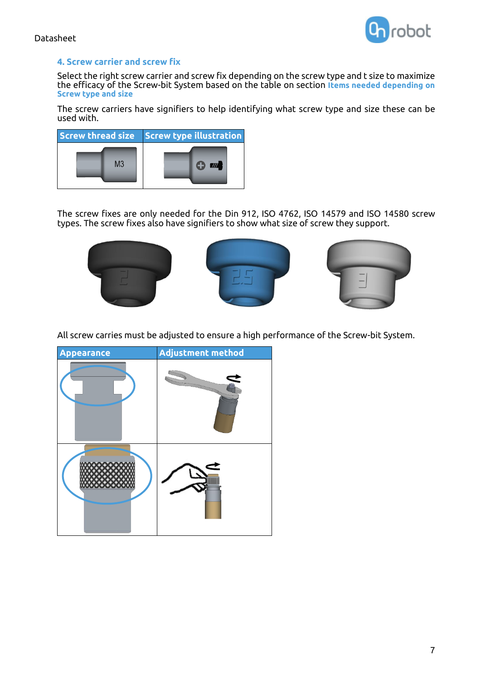

#### **4. Screw carrier and screw fix**

Select the right screw carrier and screw fix depending on the screw type and t size to maximize the efficacy of the Screw-bit System based on the table on section **Items needed depending on Screw type and size**

The screw carriers have signifiers to help identifying what screw type and size these can be used with.



The screw fixes are only needed for the Din 912, ISO 4762, ISO 14579 and ISO 14580 screw types. The screw fixes also have signifiers to show what size of screw they support.



All screw carries must be adjusted to ensure a high performance of the Screw-bit System.

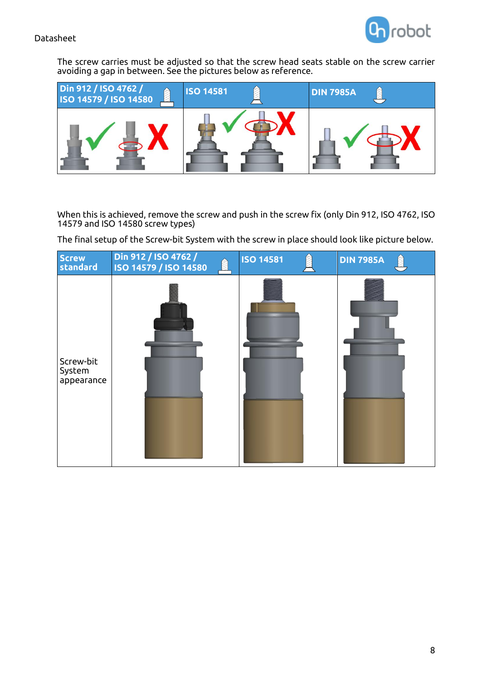

The screw carries must be adjusted so that the screw head seats stable on the screw carrier avoiding a gap in between. See the pictures below as reference.



When this is achieved, remove the screw and push in the screw fix (only Din 912, ISO 4762, ISO 14579 and ISO 14580 screw types)

The final setup of the Screw-bit System with the screw in place should look like picture below.

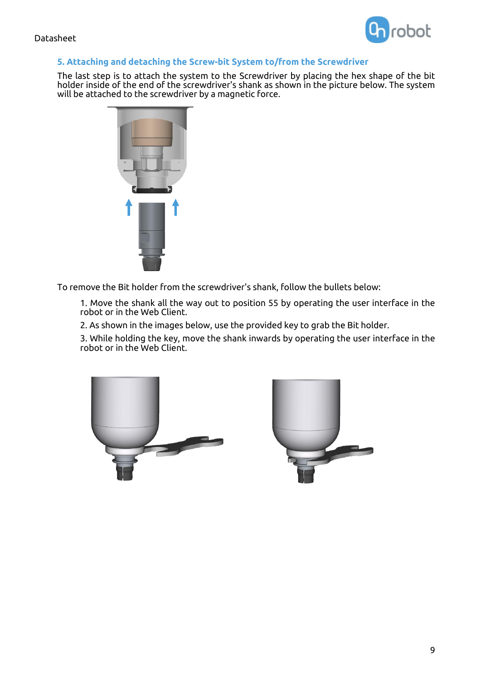

#### **5. Attaching and detaching the Screw-bit System to/from the Screwdriver**

The last step is to attach the system to the Screwdriver by placing the hex shape of the bit holder inside of the end of the screwdriver's shank as shown in the picture below. The system will be attached to the screwdriver by a magnetic force.



To remove the Bit holder from the screwdriver's shank, follow the bullets below:

1. Move the shank all the way out to position 55 by operating the user interface in the robot or in the Web Client.

2. As shown in the images below, use the provided key to grab the Bit holder.

3. While holding the key, move the shank inwards by operating the user interface in the robot or in the Web Client.



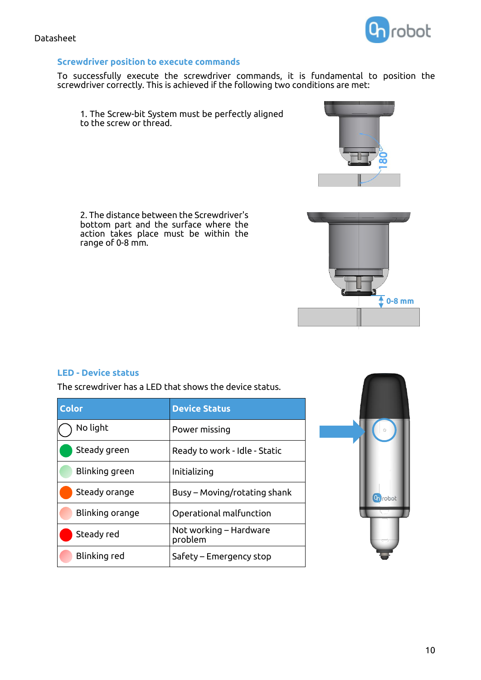#### **Screwdriver position to execute commands**

To successfully execute the screwdriver commands, it is fundamental to position the screwdriver correctly. This is achieved if the following two conditions are met:

1. The Screw-bit System must be perfectly aligned to the screw or thread.

2. The distance between the Screwdriver's bottom part and the surface where the action takes place must be within the range of 0-8 mm.

### **LED - Device status**

The screwdriver has a LED that shows the device status.

| <b>Color</b>    | <b>Device Status</b>              |
|-----------------|-----------------------------------|
| No light        | Power missing                     |
| Steady green    | Ready to work - Idle - Static     |
| Blinking green  | Initializing                      |
| Steady orange   | Busy – Moving/rotating shank      |
| Blinking orange | Operational malfunction           |
| Steady red      | Not working – Hardware<br>problem |
| Blinking red    | Safety – Emergency stop           |









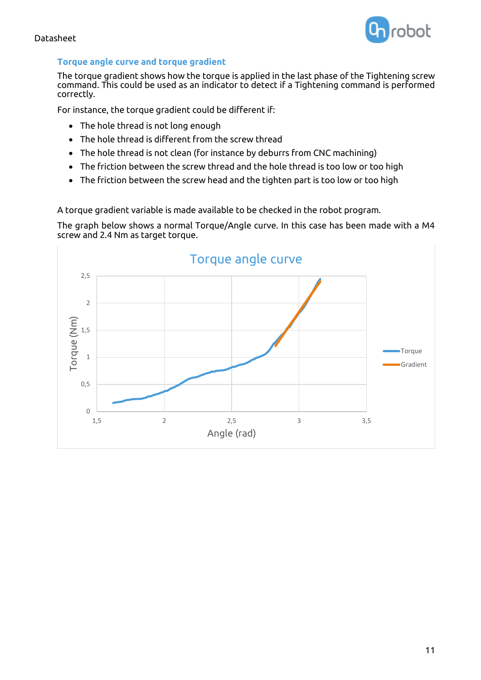



#### **Torque angle curve and torque gradient**

The torque gradient shows how the torque is applied in the last phase of the Tightening screw command. This could be used as an indicator to detect if a Tightening command is performed correctly.

For instance, the torque gradient could be different if:

- The hole thread is not long enough
- The hole thread is different from the screw thread
- The hole thread is not clean (for instance by deburrs from CNC machining)
- The friction between the screw thread and the hole thread is too low or too high
- The friction between the screw head and the tighten part is too low or too high

A torque gradient variable is made available to be checked in the robot program.

The graph below shows a normal Torque/Angle curve. In this case has been made with a M4 screw and 2.4 Nm as target torque.